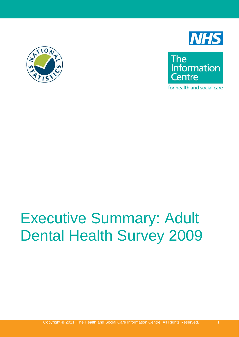



The<br>Information **Centre** 

for health and social care

# Executive Summary: Adult Dental Health Survey 2009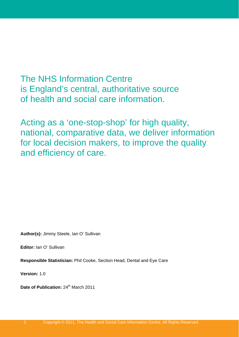The NHS Information Centre is England's central, authoritative source of health and social care information.

Acting as a 'one-stop-shop' for high quality, national, comparative data, we deliver information for local decision makers, to improve the quality and efficiency of care.

**Author(s):** Jimmy Steele, Ian O' Sullivan

**Editor:** Ian O' Sullivan

**Responsible Statistician:** Phil Cooke, Section Head, Dental and Eye Care

**Version:** 1.0

**Date of Publication: 24<sup>th</sup> March 2011**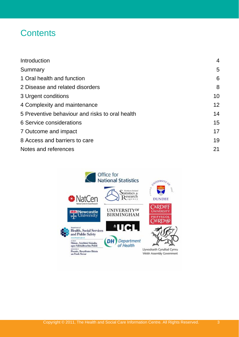#### **Contents**

| Introduction                                    | $\overline{4}$ |
|-------------------------------------------------|----------------|
| Summary                                         | 5              |
| 1 Oral health and function                      | 6              |
| 2 Disease and related disorders                 | 8              |
| 3 Urgent conditions                             | 10             |
| 4 Complexity and maintenance                    | 12             |
| 5 Preventive behaviour and risks to oral health | 14             |
| 6 Service considerations                        | 15             |
| 7 Outcome and impact                            | 17             |
| 8 Access and barriers to care                   | 19             |
| Notes and references                            | 21             |

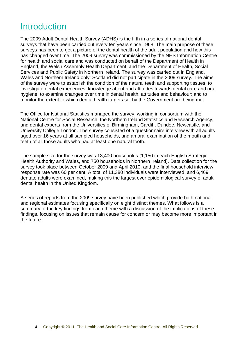#### <span id="page-3-0"></span>**Introduction**

The 2009 Adult Dental Health Survey (ADHS) is the fifth in a series of national dental surveys that have been carried out every ten years since 1968. The main purpose of these surveys has been to get a picture of the dental health of the adult population and how this has changed over time. The 2009 survey was commissioned by the NHS Information Centre for health and social care and was conducted on behalf of the Department of Health in England, the Welsh Assembly Health Department, and the Department of Health, Social Services and Public Safety in Northern Ireland. The survey was carried out in England, Wales and Northern Ireland only: Scotland did not participate in the 2009 survey. The aims of the survey were to establish the condition of the natural teeth and supporting tissues; to investigate dental experiences, knowledge about and attitudes towards dental care and oral hygiene; to examine changes over time in dental health, attitudes and behaviour; and to monitor the extent to which dental health targets set by the Government are being met.

The Office for National Statistics managed the survey, working in consortium with the National Centre for Social Research, the Northern Ireland Statistics and Research Agency, and dental experts from the Universities of Birmingham, Cardiff, Dundee, Newcastle, and University College London. The survey consisted of a questionnaire interview with all adults aged over 16 years at all sampled households, and an oral examination of the mouth and teeth of all those adults who had at least one natural tooth.

The sample size for the survey was 13,400 households (1,150 in each English Strategic Health Authority and Wales, and 750 households in Northern Ireland). Data collection for the survey took place between October 2009 and April 2010, and the final household interview response rate was 60 per cent. A total of 11,380 individuals were interviewed, and 6,469 dentate adults were examined, making this the largest ever epidemiological survey of adult dental health in the United Kingdom.

A series of reports from the 2009 survey have been published which provide both national and regional estimates focusing specifically on eight distinct themes. What follows is a summary of the key findings from each theme with a discussion of the implications of these findings, focusing on issues that remain cause for concern or may become more important in the future.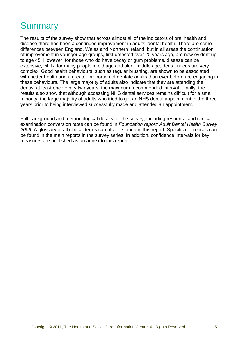#### <span id="page-4-0"></span>**Summary**

The results of the survey show that across almost all of the indicators of oral health and disease there has been a continued improvement in adults' dental health. There are some differences between England, Wales and Northern Ireland, but in all areas the continuation of improvement in younger age groups, first detected over 20 years ago, are now evident up to age 45. However, for those who do have decay or gum problems, disease can be extensive, whilst for many people in old age and older middle age, dental needs are very complex. Good health behaviours, such as regular brushing, are shown to be associated with better health and a greater proportion of dentate adults than ever before are engaging in these behaviours. The large majority of adults also indicate that they are attending the dentist at least once every two years, the maximum recommended interval. Finally, the results also show that although accessing NHS dental services remains difficult for a small minority, the large majority of adults who tried to get an NHS dental appointment in the three years prior to being interviewed successfully made and attended an appointment.

Full background and methodological details for the survey, including response and clinical examination conversion rates can be found in *Foundation report: Adult Dental Health Survey 2009*. A glossary of all clinical terms can also be found in this report. Specific references can be found in the main reports in the survey series. In addition, confidence intervals for key measures are published as an annex to this report.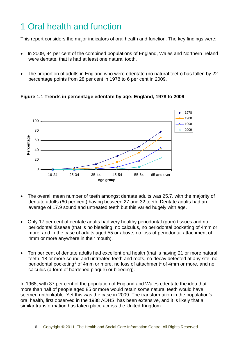# <span id="page-5-0"></span>1 Oral health and function

This report considers the major indicators of oral health and function. The key findings were:

- In 2009, 94 per cent of the combined populations of England, Wales and Northern Ireland were dentate, that is had at least one natural tooth.
- The proportion of adults in England who were edentate (no natural teeth) has fallen by 22 percentage points from 28 per cent in 1978 to 6 per cent in 2009.

1978 1988 100 1998 2009 80 Percentage **Percentage** 60 40 20 0 16-24 25-34 35-44 45-54 55-64 65 and over **Age group**

**Figure 1.1 Trends in percentage edentate by age: England, 1978 to 2009** 

- The overall mean number of teeth amongst dentate adults was 25.7, with the majority of dentate adults (60 per cent) having between 27 and 32 teeth. Dentate adults had an average of 17.9 sound and untreated teeth but this varied hugely with age.
- Only 17 per cent of dentate adults had very healthy periodontal (gum) tissues and no periodontal disease (that is no bleeding, no calculus, no periodontal pocketing of 4mm or more, and in the case of adults aged 55 or above, no loss of periodontal attachment of 4mm or more anywhere in their mouth).
- <span id="page-5-1"></span>• Ten per cent of dentate adults had excellent oral health (that is having 21 or more natural teeth, 18 or more sound and untreated teeth and roots, no decay detected at any site, no periodontal pocketing<sup>[1](#page-5-1)</sup> of 4mm or more, no loss of attachment<sup>1</sup> of 4mm or more, and no calculus (a form of hardened plaque) or bleeding).

In 1968, with 37 per cent of the population of England and Wales edentate the idea that more than half of people aged 85 or more would retain some natural teeth would have seemed unthinkable. Yet this was the case in 2009. The transformation in the population's oral health, first observed in the 1988 ADHS, has been extensive, and it is likely that a similar transformation has taken place across the United Kingdom.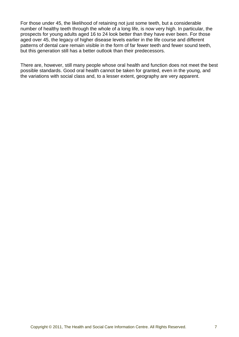For those under 45, the likelihood of retaining not just some teeth, but a considerable number of healthy teeth through the whole of a long life, is now very high. In particular, the prospects for young adults aged 16 to 24 look better than they have ever been. For those aged over 45, the legacy of higher disease levels earlier in the life course and different patterns of dental care remain visible in the form of far fewer teeth and fewer sound teeth, but this generation still has a better outlook than their predecessors.

There are, however, still many people whose oral health and function does not meet the best possible standards. Good oral health cannot be taken for granted, even in the young, and the variations with social class and, to a lesser extent, geography are very apparent.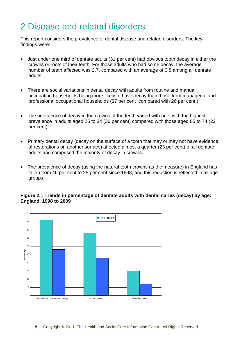### <span id="page-7-0"></span>2 Disease and related disorders

This report considers the prevalence of dental disease and related disorders. The key findings were:

- Just under one third of dentate adults (31 per cent) had obvious tooth decay in either the crowns or roots of their teeth. For those adults who had some decay, the average number of teeth affected was 2.7, compared with an average of 0.8 among all dentate adults.
- There are social variations in dental decay with adults from routine and manual occupation households being more likely to have decay than those from managerial and professional occupational households (37 per cent compared with 26 per cent )
- The prevalence of decay in the crowns of the teeth varied with age, with the highest prevalence in adults aged 25 to 34 (36 per cent) compared with those aged 65 to 74 (22 per cent).
- Primary dental decay (decay on the surface of a tooth that may or may not have evidence of restorations on another surface) affected almost a quarter (23 per cent) of all dentate adults and comprised the majority of decay in crowns.
- The prevalence of decay (using the natural tooth crowns as the measure) in England has fallen from 46 per cent to 28 per cent since 1998, and this reduction is reflected in all age groups.

#### **Figure 2.1 Trends in percentage of dentate adults with dental caries (decay) by age: England, 1998 to 2009**

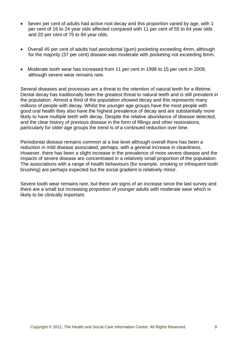- Seven per cent of adults had active root decay and this proportion varied by age, with 1 per cent of 16 to 24 year olds affected compared with 11 per cent of 55 to 64 year olds and 20 per cent of 75 to 84 year olds.
- Overall 45 per cent of adults had periodontal (gum) pocketing exceeding 4mm, although for the majority (37 per cent) disease was moderate with pocketing not exceeding 6mm.
- Moderate tooth wear has increased from 11 per cent in 1998 to 15 per cent in 2009, although severe wear remains rare.

Several diseases and processes are a threat to the retention of natural teeth for a lifetime. Dental decay has traditionally been the greatest threat to natural teeth and is still prevalent in the population. Almost a third of the population showed decay and this represents many millions of people with decay. Whilst the younger age groups have the most people with good oral health they also have the highest prevalence of decay and are substantially more likely to have multiple teeth with decay. Despite the relative abundance of disease detected, and the clear history of previous disease in the form of fillings and other restorations, particularly for older age groups the trend is of a continued reduction over time.

Periodontal disease remains common at a low level although overall there has been a reduction in mild disease associated, perhaps, with a general increase in cleanliness. However, there has been a slight increase in the prevalence of more severe disease and the impacts of severe disease are concentrated in a relatively small proportion of the population. The associations with a range of health behaviours (for example, smoking or infrequent tooth brushing) are perhaps expected but the social gradient is relatively minor.

Severe tooth wear remains rare, but there are signs of an increase since the last survey and there are a small but increasing proportion of younger adults with moderate wear which is likely to be clinically important.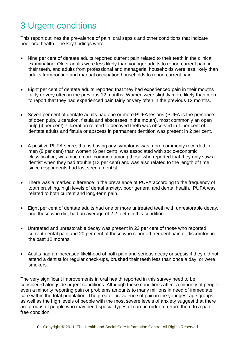# <span id="page-9-0"></span>3 Urgent conditions

This report outlines the prevalence of pain, oral sepsis and other conditions that indicate poor oral health. The key findings were:

- Nine per cent of dentate adults reported current pain related to their teeth in the clinical examination. Older adults were less likely than younger adults to report current pain in their teeth, and adults from professional and managerial households were less likely than adults from routine and manual occupation households to report current pain.
- Eight per cent of dentate adults reported that they had experienced pain in their mouths fairly or very often in the previous 12 months. Women were slightly more likely than men to report that they had experienced pain fairly or very often in the previous 12 months.
- Seven per cent of dentate adults had one or more PUFA lesions (PUFA is the presence of open pulp, ulceration, fistula and abscesses in the mouth), most commonly an open pulp (4 per cent). Ulceration related to decayed teeth was observed in 1 per cent of dentate adults and fistula or abscess in permanent dentition was present in 2 per cent.
- A positive PUFA score, that is having any symptoms was more commonly recorded in men (8 per cent) than women (6 per cent), was associated with socio-economic classification, was much more common among those who reported that they only saw a dentist when they had trouble (13 per cent) and was also related to the length of time since respondents had last seen a dentist.
- There was a marked difference in the prevalence of PUFA according to the frequency of tooth brushing, high levels of dental anxiety, poor general and dental health. PUFA was related to both current and long-term pain.
- Eight per cent of dentate adults had one or more untreated teeth with unrestorable decay, and those who did, had an average of 2.2 teeth in this condition.
- Untreated and unrestorable decay was present in 23 per cent of those who reported current dental pain and 20 per cent of those who reported frequent pain or discomfort in the past 12 months.
- Adults had an increased likelihood of both pain and serious decay or sepsis if they did not attend a dentist for regular check-ups, brushed their teeth less than once a day, or were smokers.

The very significant improvements in oral health reported in this survey need to be considered alongside urgent conditions. Although these conditions affect a minority of people even a minority reporting pain or problems amounts to many millions in need of immediate care within the total population. The greater prevalence of pain in the youngest age groups as well as the high levels of people with the most severe levels of anxiety suggest that there are groups of people who may need special types of care in order to return them to a pain free condition.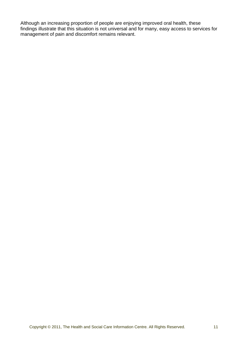Although an increasing proportion of people are enjoying improved oral health, these findings illustrate that this situation is not universal and for many, easy access to services for management of pain and discomfort remains relevant.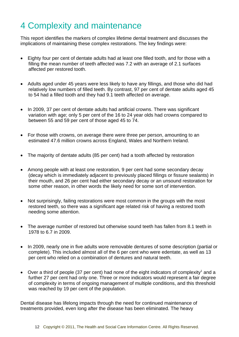### <span id="page-11-0"></span>4 Complexity and maintenance

This report identifies the markers of complex lifetime dental treatment and discusses the implications of maintaining these complex restorations. The key findings were:

- Eighty four per cent of dentate adults had at least one filled tooth, and for those with a filling the mean number of teeth affected was 7.2 with an average of 2.1 surfaces affected per restored tooth.
- Adults aged under 45 years were less likely to have any fillings, and those who did had relatively low numbers of filled teeth. By contrast, 97 per cent of dentate adults aged 45 to 54 had a filled tooth and they had 9.1 teeth affected on average.
- In 2009, 37 per cent of dentate adults had artificial crowns. There was significant variation with age; only 5 per cent of the 16 to 24 year olds had crowns compared to between 55 and 59 per cent of those aged 45 to 74.
- For those with crowns, on average there were three per person, amounting to an estimated 47.6 million crowns across England, Wales and Northern Ireland.
- The majority of dentate adults (85 per cent) had a tooth affected by restoration
- Among people with at least one restoration, 9 per cent had some secondary decay (decay which is immediately adjacent to previously placed fillings or fissure sealants) in their mouth, and 26 per cent had either secondary decay or an unsound restoration for some other reason, in other words the likely need for some sort of intervention.
- Not surprisingly, failing restorations were most common in the groups with the most restored teeth, so there was a significant age related risk of having a restored tooth needing some attention.
- The average number of restored but otherwise sound teeth has fallen from 8.1 teeth in 1978 to 6.7 in 2009.
- In 2009, nearly one in five adults wore removable dentures of some description (partial or complete). This included almost all of the 6 per cent who were edentate, as well as 13 per cent who relied on a combination of dentures and natural teeth.
- Over a third of people (37 per cent) had none of the eight indicators of complexity<sup>1</sup> and a further 27 per cent had only one. Three or more indicators would represent a fair degree of complexity in terms of ongoing management of multiple conditions, and this threshold was reached by 19 per cent of the population.

Dental disease has lifelong impacts through the need for continued maintenance of treatments provided, even long after the disease has been eliminated. The heavy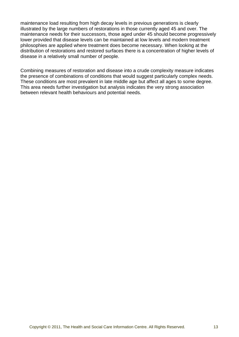maintenance load resulting from high decay levels in previous generations is clearly illustrated by the large numbers of restorations in those currently aged 45 and over. The maintenance needs for their successors, those aged under 45 should become progressively lower provided that disease levels can be maintained at low levels and modern treatment philosophies are applied where treatment does become necessary. When looking at the distribution of restorations and restored surfaces there is a concentration of higher levels of disease in a relatively small number of people.

Combining measures of restoration and disease into a crude complexity measure indicates the presence of combinations of conditions that would suggest particularly complex needs. These conditions are most prevalent in late middle age but affect all ages to some degree. This area needs further investigation but analysis indicates the very strong association between relevant health behaviours and potential needs.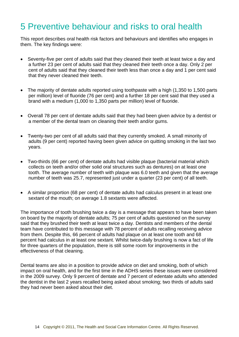### <span id="page-13-0"></span>5 Preventive behaviour and risks to oral health

This report describes oral health risk factors and behaviours and identifies who engages in them. The key findings were:

- Seventy-five per cent of adults said that they cleaned their teeth at least twice a day and a further 23 per cent of adults said that they cleaned their teeth once a day. Only 2 per cent of adults said that they cleaned their teeth less than once a day and 1 per cent said that they never cleaned their teeth.
- The majority of dentate adults reported using toothpaste with a high (1,350 to 1,500 parts per million) level of fluoride (76 per cent) and a further 18 per cent said that they used a brand with a medium (1,000 to 1,350 parts per million) level of fluoride.
- Overall 78 per cent of dentate adults said that they had been given advice by a dentist or a member of the dental team on cleaning their teeth and/or gums.
- Twenty-two per cent of all adults said that they currently smoked. A small minority of adults (9 per cent) reported having been given advice on quitting smoking in the last two years.
- Two-thirds (66 per cent) of dentate adults had visible plaque (bacterial material which collects on teeth and/or other solid oral structures such as dentures) on at least one tooth. The average number of teeth with plaque was 6.0 teeth and given that the average number of teeth was 25.7, represented just under a quarter (23 per cent) of all teeth.
- A similar proportion (68 per cent) of dentate adults had calculus present in at least one sextant of the mouth; on average 1.8 sextants were affected.

The importance of tooth brushing twice a day is a message that appears to have been taken on board by the majority of dentate adults; 75 per cent of adults questioned on the survey said that they brushed their teeth at least twice a day. Dentists and members of the dental team have contributed to this message with 78 percent of adults recalling receiving advice from them. Despite this, 66 percent of adults had plaque on at least one tooth and 68 percent had calculus in at least one sextant. Whilst twice-daily brushing is now a fact of life for three quarters of the population, there is still some room for improvements in the effectiveness of that cleaning.

Dental teams are also in a position to provide advice on diet and smoking, both of which impact on oral health, and for the first time in the ADHS series these issues were considered in the 2009 survey. Only 9 percent of dentate and 7 percent of edentate adults who attended the dentist in the last 2 years recalled being asked about smoking; two thirds of adults said they had never been asked about their diet.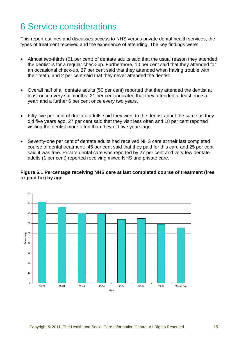## <span id="page-14-0"></span>6 Service considerations

This report outlines and discusses access to NHS versus private dental health services, the types of treatment received and the experience of attending. The key findings were:

- Almost two-thirds (61 per cent) of dentate adults said that the usual reason they attended the dentist is for a regular check-up. Furthermore, 10 per cent said that they attended for an occasional check-up, 27 per cent said that they attended when having trouble with their teeth, and 2 per cent said that they never attended the dentist.
- Overall half of all dentate adults (50 per cent) reported that they attended the dentist at least once every six months; 21 per cent indicated that they attended at least once a year; and a further 6 per cent once every two years.
- Fifty-five per cent of dentate adults said they went to the dentist about the same as they did five years ago, 27 per cent said that they visit less often and 18 per cent reported visiting the dentist more often than they did five years ago.
- Seventy-one per cent of dentate adults had received NHS care at their last completed course of dental treatment: 45 per cent said that they paid for this care and 25 per cent said it was free. Private dental care was reported by 27 per cent and very few dentate adults (1 per cent) reported receiving mixed NHS and private care.

#### **Figure 6.1 Percentage receiving NHS care at last completed course of treatment (free or paid for) by age**

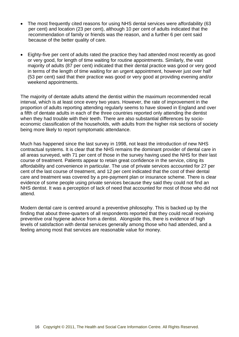- The most frequently cited reasons for using NHS dental services were affordability (63) per cent) and location (23 per cent), although 10 per cent of adults indicated that the recommendation of family or friends was the reason, and a further 6 per cent said because of the better quality of care.
- Eighty-five per cent of adults rated the practice they had attended most recently as good or very good, for length of time waiting for routine appointments. Similarly, the vast majority of adults (87 per cent) indicated that their dental practice was good or very good in terms of the length of time waiting for an urgent appointment, however just over half (53 per cent) said that their practice was good or very good at providing evening and/or weekend appointments.

The majority of dentate adults attend the dentist within the maximum recommended recall interval, which is at least once every two years. However, the rate of improvement in the proportion of adults reporting attending regularly seems to have slowed in England and over a fifth of dentate adults in each of the three countries reported only attending the dentist when they had trouble with their teeth. There are also substantial differences by socioeconomic classification of the households, with adults from the higher risk sections of society being more likely to report symptomatic attendance.

Much has happened since the last survey in 1998, not least the introduction of new NHS contractual systems. It is clear that the NHS remains the dominant provider of dental care in all areas surveyed, with 71 per cent of those in the survey having used the NHS for their last course of treatment. Patients appear to retain great confidence in the service, citing its affordability and convenience in particular. The use of private services accounted for 27 per cent of the last course of treatment, and 12 per cent indicated that the cost of their dental care and treatment was covered by a pre-payment plan or insurance scheme. There is clear evidence of some people using private services because they said they could not find an NHS dentist. It was a perception of lack of need that accounted for most of those who did not attend.

Modern dental care is centred around a preventive philosophy. This is backed up by the finding that about three-quarters of all respondents reported that they could recall receiving preventive oral hygiene advice from a dentist. Alongside this, there is evidence of high levels of satisfaction with dental services generally among those who had attended, and a feeling among most that services are reasonable value for money.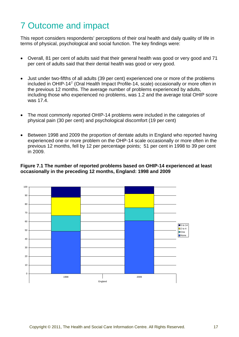# <span id="page-16-0"></span>7 Outcome and impact

This report considers respondents' perceptions of their oral health and daily quality of life in terms of physical, psychological and social function. The key findings were:

- Overall, 81 per cent of adults said that their general health was good or very good and 71 per cent of adults said that their dental health was good or very good.
- <span id="page-16-1"></span>• Just under two-fifths of all adults (39 per cent) experienced one or more of the problems included in OHIP-14<sup>[2](#page-21-1)</sup> (Oral Health Impact Profile-14, scale) occasionally or more often in the previous 12 months. The average number of problems experienced by adults, including those who experienced no problems, was 1.2 and the average total OHIP score was 17.4.
- The most commonly reported OHIP-14 problems were included in the categories of physical pain (30 per cent) and psychological discomfort (19 per cent)
- Between 1998 and 2009 the proportion of dentate adults in England who reported having experienced one or more problem on the OHP-14 scale occasionally or more often in the previous 12 months, fell by 12 per percentage points; 51 per cent in 1998 to 39 per cent in 2009.

#### **Figure 7.1 The number of reported problems based on OHIP-14 experienced at least occasionally in the preceding 12 months, England: 1998 and 2009**

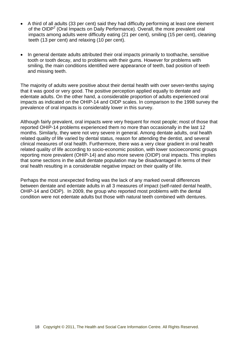- A third of all adults (33 per cent) said they had difficulty performing at least one element of the OIDP<sup>[2](#page-16-1)</sup> (Oral Impacts on Daily Performance). Overall, the more prevalent oral impacts among adults were difficulty eating (21 per cent), smiling (15 per cent), cleaning teeth (13 per cent) and relaxing (10 per cent).
- In general dentate adults attributed their oral impacts primarily to toothache, sensitive tooth or tooth decay, and to problems with their gums. However for problems with smiling, the main conditions identified were appearance of teeth, bad position of teeth and missing teeth.

The majority of adults were positive about their dental health with over seven-tenths saying that it was good or very good. The positive perception applied equally to dentate and edentate adults. On the other hand, a considerable proportion of adults experienced oral impacts as indicated on the OHIP-14 and OIDP scales. In comparison to the 1998 survey the prevalence of oral impacts is considerably lower in this survey.

Although fairly prevalent, oral impacts were very frequent for most people; most of those that reported OHIP-14 problems experienced them no more than occasionally in the last 12 months. Similarly, they were not very severe in general. Among dentate adults, oral health related quality of life varied by dental status, reason for attending the dentist, and several clinical measures of oral health. Furthermore, there was a very clear gradient in oral health related quality of life according to socio-economic position, with lower socioeconomic groups reporting more prevalent (OHIP-14) and also more severe (OIDP) oral impacts. This implies that some sections in the adult dentate population may be disadvantaged in terms of their oral health resulting in a considerable negative impact on their quality of life.

Perhaps the most unexpected finding was the lack of any marked overall differences between dentate and edentate adults in all 3 measures of impact (self-rated dental health, OHIP-14 and OIDP). In 2009, the group who reported most problems with the dental condition were not edentate adults but those with natural teeth combined with dentures.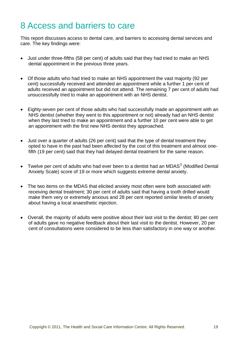#### <span id="page-18-0"></span>8 Access and barriers to care

This report discusses access to dental care, and barriers to accessing dental services and care. The key findings were:

- Just under three-fifths (58 per cent) of adults said that they had tried to make an NHS dental appointment in the previous three years.
- Of those adults who had tried to make an NHS appointment the vast majority (92 per cent) successfully received and attended an appointment while a further 1 per cent of adults received an appointment but did not attend. The remaining 7 per cent of adults had unsuccessfully tried to make an appointment with an NHS dentist.
- Eighty-seven per cent of those adults who had successfully made an appointment with an NHS dentist (whether they went to this appointment or not) already had an NHS dentist when they last tried to make an appointment and a further 10 per cent were able to get an appointment with the first new NHS dentist they approached.
- Just over a quarter of adults (26 per cent) said that the type of dental treatment they opted to have in the past had been affected by the cost of this treatment and almost onefifth (19 per cent) said that they had delayed dental treatment for the same reason.
- Twelve per cent of adults who had ever been to a dentist had an MDAS $3$  (Modified Dental Anxiety Scale) score of 19 or more which suggests extreme dental anxiety.
- The two items on the MDAS that elicited anxiety most often were both associated with receiving dental treatment; 30 per cent of adults said that having a tooth drilled would make them very or extremely anxious and 28 per cent reported similar levels of anxiety about having a local anaesthetic injection.
- Overall, the majority of adults were positive about their last visit to the dentist; 80 per cent of adults gave no negative feedback about their last visit to the dentist. However, 20 per cent of consultations were considered to be less than satisfactory in one way or another.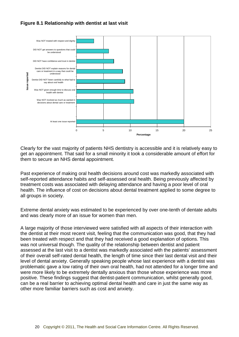#### **Figure 8.1 Relationship with dentist at last visit**



Clearly for the vast majority of patients NHS dentistry is accessible and it is relatively easy to get an appointment. That said for a small minority it took a considerable amount of effort for them to secure an NHS dental appointment.

Past experience of making oral health decisions around cost was markedly associated with self-reported attendance habits and self-assessed oral health. Being previously affected by treatment costs was associated with delaying attendance and having a poor level of oral health. The influence of cost on decisions about dental treatment applied to some degree to all groups in society.

Extreme dental anxiety was estimated to be experienced by over one-tenth of dentate adults and was clearly more of an issue for women than men.

A large majority of those interviewed were satisfied with all aspects of their interaction with the dentist at their most recent visit, feeling that the communication was good, that they had been treated with respect and that they had received a good explanation of options. This was not universal though. The quality of the relationship between dentist and patient assessed at the last visit to a dentist was markedly associated with the patients' assessment of their overall self-rated dental health, the length of time since their last dental visit and their level of dental anxiety. Generally speaking people whose last experience with a dentist was problematic gave a low rating of their own oral health, had not attended for a longer time and were more likely to be extremely dentally anxious than those whose experience was more positive. These findings suggest that dentist-patient communication, whilst generally good, can be a real barrier to achieving optimal dental health and care in just the same way as other more familiar barriers such as cost and anxiety.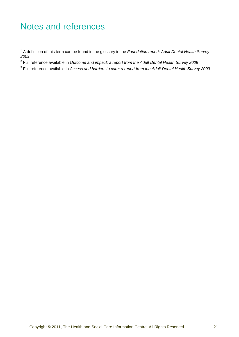### <span id="page-20-0"></span>Notes and references

- 2 Full reference available in *Outcome and impact: a report from the Adult Dental Health Survey 2009*
- 3 Full reference available in *Access and barriers to care: a report from the Adult Dental Health Survey 2009*

<sup>1</sup> A definition of this term can be found in the glossary in the *Foundation report: Adult Dental Health Survey 2009*